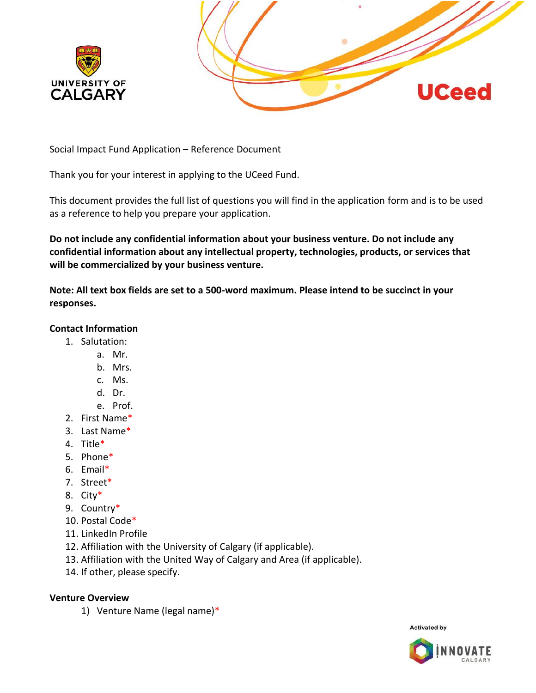



Social Impact Fund Application – Reference Document

Thank you for your interest in applying to the UCeed Fund.

This document provides the full list of questions you will find in the application form and is to be used as a reference to help you prepare your application.

**Do not include any confidential information about your business venture. Do not include any confidential information about any intellectual property, technologies, products, or services that will be commercialized by your business venture.** 

**Note: All text box fields are set to a 500-word maximum. Please intend to be succinct in your responses.** 

# **Contact Information**

- 1. Salutation:
	- a. Mr.
	- b. Mrs.
	- c. Ms.
	- d. Dr.
	- e. Prof.
- 2. First Name\*
- 3. Last Name\*
- 4. Title\*
- 5. Phone\*
- 6. Email\*
- 7. Street\*
- 8. City\*
- 9. Country\*
- 10. Postal Code\*
- 11. LinkedIn Profile
- 12. Affiliation with the University of Calgary (if applicable).
- 13. Affiliation with the United Way of Calgary and Area (if applicable).
- 14. If other, please specify.

# **Venture Overview**

1) Venture Name (legal name)\*

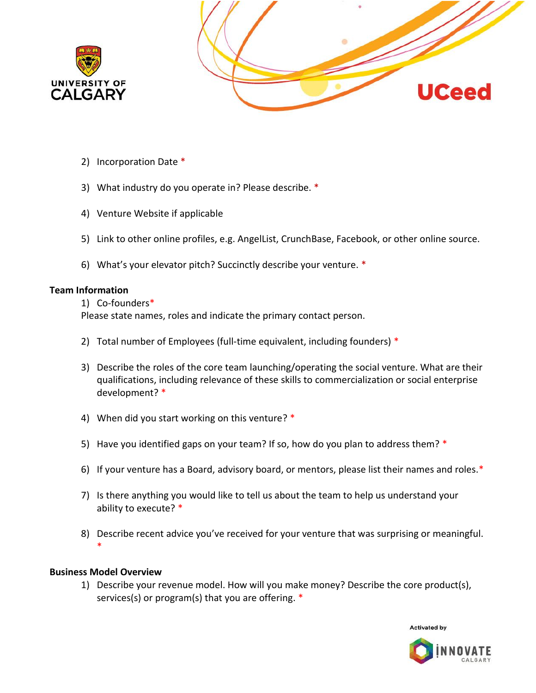



- 2) Incorporation Date \*
- 3) What industry do you operate in? Please describe. \*
- 4) Venture Website if applicable
- 5) Link to other online profiles, e.g. AngelList, CrunchBase, Facebook, or other online source.
- 6) What's your elevator pitch? Succinctly describe your venture. \*

#### **Team Information**

#### 1) Co-founders\*

Please state names, roles and indicate the primary contact person.

- 2) Total number of Employees (full-time equivalent, including founders) \*
- 3) Describe the roles of the core team launching/operating the social venture. What are their qualifications, including relevance of these skills to commercialization or social enterprise development? \*
- 4) When did you start working on this venture? \*
- 5) Have you identified gaps on your team? If so, how do you plan to address them? \*
- 6) If your venture has a Board, advisory board, or mentors, please list their names and roles.\*
- 7) Is there anything you would like to tell us about the team to help us understand your ability to execute? \*
- 8) Describe recent advice you've received for your venture that was surprising or meaningful. \*

# **Business Model Overview**

1) Describe your revenue model. How will you make money? Describe the core product(s), services(s) or program(s) that you are offering. \*

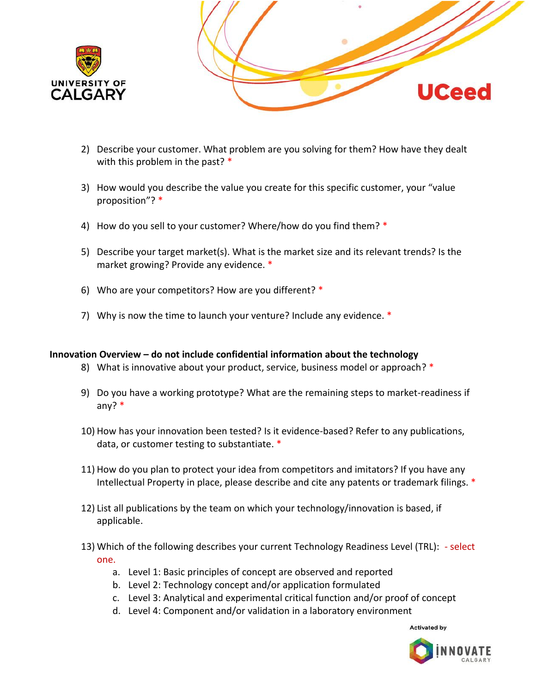



- 2) Describe your customer. What problem are you solving for them? How have they dealt with this problem in the past? \*
- 3) How would you describe the value you create for this specific customer, your "value proposition"? \*
- 4) How do you sell to your customer? Where/how do you find them? \*
- 5) Describe your target market(s). What is the market size and its relevant trends? Is the market growing? Provide any evidence. \*
- 6) Who are your competitors? How are you different? \*
- 7) Why is now the time to launch your venture? Include any evidence. \*

# **Innovation Overview – do not include confidential information about the technology**

- 8) What is innovative about your product, service, business model or approach? \*
- 9) Do you have a working prototype? What are the remaining steps to market-readiness if any? \*
- 10) How has your innovation been tested? Is it evidence-based? Refer to any publications, data, or customer testing to substantiate. \*
- 11) How do you plan to protect your idea from competitors and imitators? If you have any Intellectual Property in place, please describe and cite any patents or trademark filings. \*
- 12) List all publications by the team on which your technology/innovation is based, if applicable.
- 13) Which of the following describes your current Technology Readiness Level (TRL): select one.
	- a. Level 1: Basic principles of concept are observed and reported
	- b. Level 2: Technology concept and/or application formulated
	- c. Level 3: Analytical and experimental critical function and/or proof of concept
	- d. Level 4: Component and/or validation in a laboratory environment

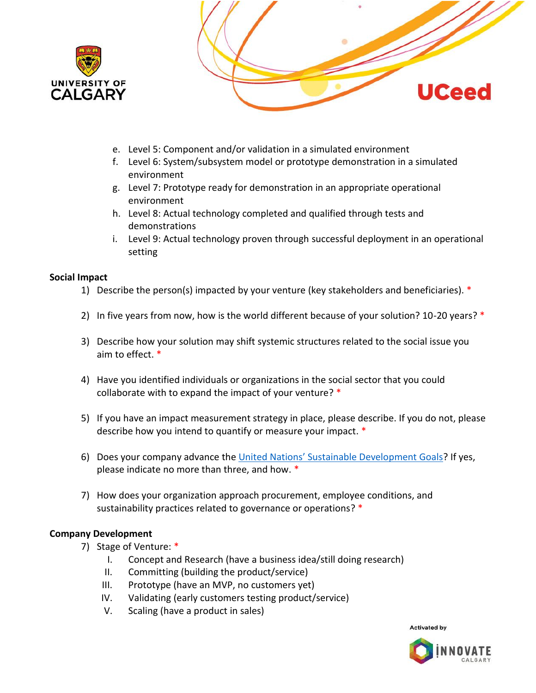



- e. Level 5: Component and/or validation in a simulated environment
- f. Level 6: System/subsystem model or prototype demonstration in a simulated environment
- g. Level 7: Prototype ready for demonstration in an appropriate operational environment
- h. Level 8: Actual technology completed and qualified through tests and demonstrations
- i. Level 9: Actual technology proven through successful deployment in an operational setting

# **Social Impact**

- 1) Describe the person(s) impacted by your venture (key stakeholders and beneficiaries). \*
- 2) In five years from now, how is the world different because of your solution? 10-20 years? \*
- 3) Describe how your solution may shift systemic structures related to the social issue you aim to effect. \*
- 4) Have you identified individuals or organizations in the social sector that you could collaborate with to expand the impact of your venture? \*
- 5) If you have an impact measurement strategy in place, please describe. If you do not, please describe how you intend to quantify or measure your impact. \*
- 6) Does your company advance the [United Nations' Sustainable Development Goals](https://www.un.org/sustainabledevelopment/sustainable-development-goals/)? If yes, please indicate no more than three, and how. \*
- 7) How does your organization approach procurement, employee conditions, and sustainability practices related to governance or operations? \*

# **Company Development**

- 7) Stage of Venture: \*
	- I. Concept and Research (have a business idea/still doing research)
	- II. Committing (building the product/service)
	- III. Prototype (have an MVP, no customers yet)
	- IV. Validating (early customers testing product/service)
	- V. Scaling (have a product in sales)

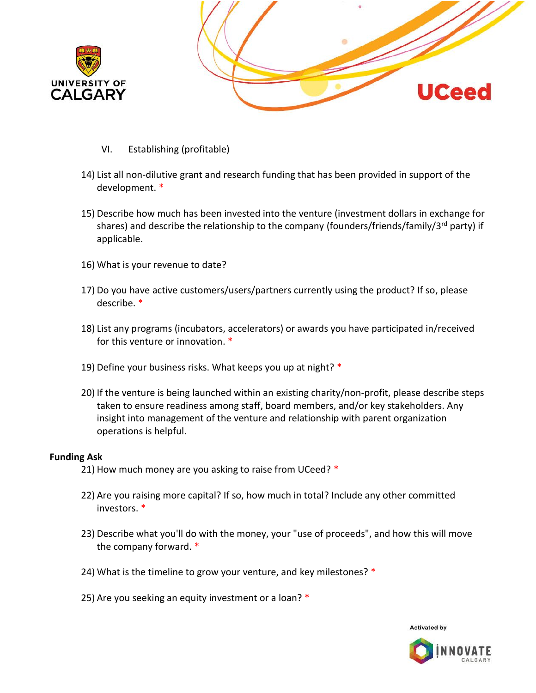



- VI. Establishing (profitable)
- 14) List all non-dilutive grant and research funding that has been provided in support of the development. \*
- 15) Describe how much has been invested into the venture (investment dollars in exchange for shares) and describe the relationship to the company (founders/friends/family/3<sup>rd</sup> party) if applicable.
- 16) What is your revenue to date?
- 17) Do you have active customers/users/partners currently using the product? If so, please describe. \*
- 18) List any programs (incubators, accelerators) or awards you have participated in/received for this venture or innovation. \*
- 19) Define your business risks. What keeps you up at night? \*
- 20) If the venture is being launched within an existing charity/non-profit, please describe steps taken to ensure readiness among staff, board members, and/or key stakeholders. Any insight into management of the venture and relationship with parent organization operations is helpful.

#### **Funding Ask**

- 21) How much money are you asking to raise from UCeed? \*
- 22) Are you raising more capital? If so, how much in total? Include any other committed investors. \*
- 23) Describe what you'll do with the money, your "use of proceeds", and how this will move the company forward. \*
- 24) What is the timeline to grow your venture, and key milestones? \*
- 25) Are you seeking an equity investment or a loan? \*

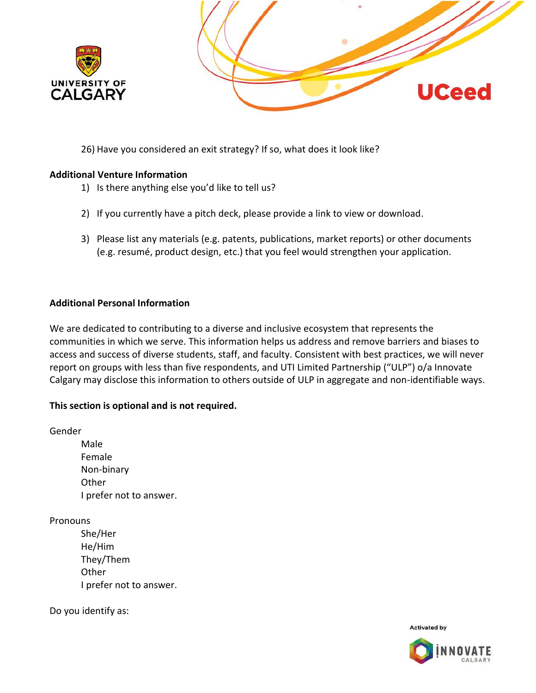



26) Have you considered an exit strategy? If so, what does it look like?

#### **Additional Venture Information**

- 1) Is there anything else you'd like to tell us?
- 2) If you currently have a pitch deck, please provide a link to view or download.
- 3) Please list any materials (e.g. patents, publications, market reports) or other documents (e.g. resumé, product design, etc.) that you feel would strengthen your application.

# **Additional Personal Information**

We are dedicated to contributing to a diverse and inclusive ecosystem that represents the communities in which we serve. This information helps us address and remove barriers and biases to access and success of diverse students, staff, and faculty. Consistent with best practices, we will never report on groups with less than five respondents, and UTI Limited Partnership ("ULP") o/a Innovate Calgary may disclose this information to others outside of ULP in aggregate and non-identifiable ways.

# **This section is optional and is not required.**

Gender

Male Female Non-binary **Other** I prefer not to answer.

**Pronouns** 

She/Her He/Him They/Them **Other** I prefer not to answer.

Do you identify as:

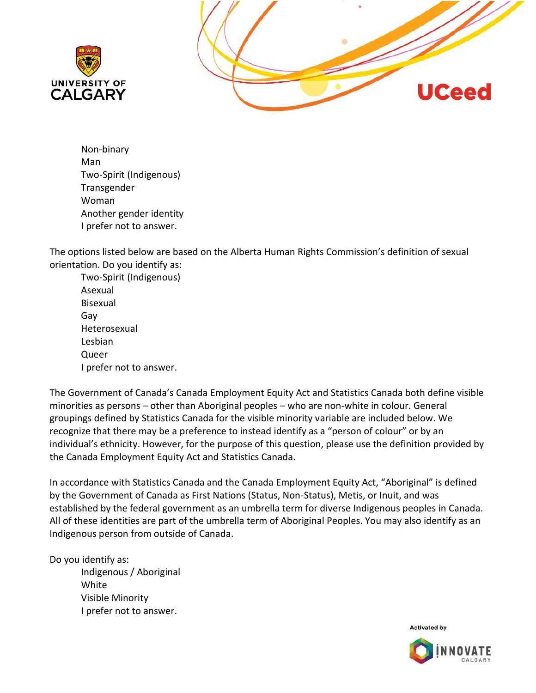



Non-binary Man Two-Spirit (Indigenous) Transgender Woman Another gender identity I prefer not to answer.

The options listed below are based on the Alberta Human Rights Commission's definition of sexual orientation. Do you identify as:

Two-Spirit (Indigenous) Asexual Bisexual Gay Heterosexual Lesbian Queer I prefer not to answer.

The Government of Canada's Canada Employment Equity Act and Statistics Canada both define visible minorities as persons – other than Aboriginal peoples – who are non-white in colour. General groupings defined by Statistics Canada for the visible minority variable are included below. We recognize that there may be a preference to instead identify as a "person of colour" or by an individual's ethnicity. However, for the purpose of this question, please use the definition provided by the Canada Employment Equity Act and Statistics Canada.

In accordance with Statistics Canada and the Canada Employment Equity Act, "Aboriginal" is defined by the Government of Canada as First Nations (Status, Non-Status), Metis, or Inuit, and was established by the federal government as an umbrella term for diverse Indigenous peoples in Canada. All of these identities are part of the umbrella term of Aboriginal Peoples. You may also identify as an Indigenous person from outside of Canada.

Do you identify as:

Indigenous / Aboriginal White Visible Minority I prefer not to answer.